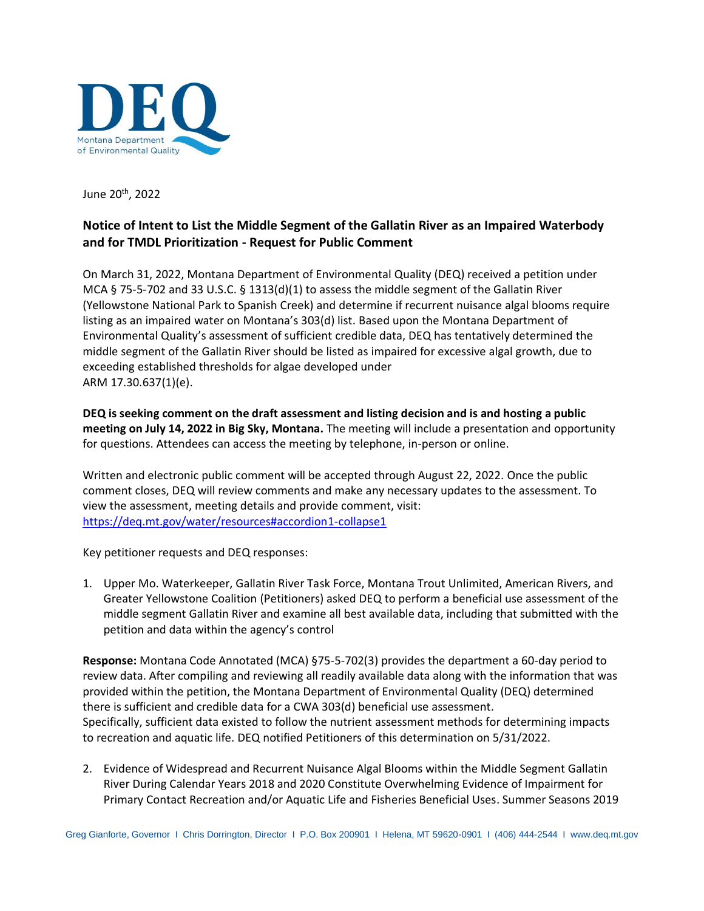

June 20th , 2022

## **Notice of Intent to List the Middle Segment of the Gallatin River as an Impaired Waterbody and for TMDL Prioritization - Request for Public Comment**

On March 31, 2022, Montana Department of Environmental Quality (DEQ) received a petition under MCA § 75-5-702 and 33 U.S.C. § 1313(d)(1) to assess the middle segment of the Gallatin River (Yellowstone National Park to Spanish Creek) and determine if recurrent nuisance algal blooms require listing as an impaired water on Montana's 303(d) list. Based upon the Montana Department of Environmental Quality's assessment of sufficient credible data, DEQ has tentatively determined the middle segment of the Gallatin River should be listed as impaired for excessive algal growth, due to exceeding established thresholds for algae developed under ARM 17.30.637(1)(e).

**DEQ is seeking comment on the draft assessment and listing decision and is and hosting a public meeting on July 14, 2022 in Big Sky, Montana.** The meeting will include a presentation and opportunity for questions. Attendees can access the meeting by telephone, in-person or online.

Written and electronic public comment will be accepted through August 22, 2022. Once the public comment closes, DEQ will review comments and make any necessary updates to the assessment. To view the assessment, meeting details and provide comment, visit: <https://deq.mt.gov/water/resources#accordion1-collapse1>

Key petitioner requests and DEQ responses:

1. Upper Mo. Waterkeeper, Gallatin River Task Force, Montana Trout Unlimited, American Rivers, and Greater Yellowstone Coalition (Petitioners) asked DEQ to perform a beneficial use assessment of the middle segment Gallatin River and examine all best available data, including that submitted with the petition and data within the agency's control

**Response:** Montana Code Annotated (MCA) §75-5-702(3) provides the department a 60-day period to review data. After compiling and reviewing all readily available data along with the information that was provided within the petition, the Montana Department of Environmental Quality (DEQ) determined there is sufficient and credible data for a CWA 303(d) beneficial use assessment. Specifically, sufficient data existed to follow the nutrient assessment methods for determining impacts to recreation and aquatic life. DEQ notified Petitioners of this determination on 5/31/2022.

2. Evidence of Widespread and Recurrent Nuisance Algal Blooms within the Middle Segment Gallatin River During Calendar Years 2018 and 2020 Constitute Overwhelming Evidence of Impairment for Primary Contact Recreation and/or Aquatic Life and Fisheries Beneficial Uses. Summer Seasons 2019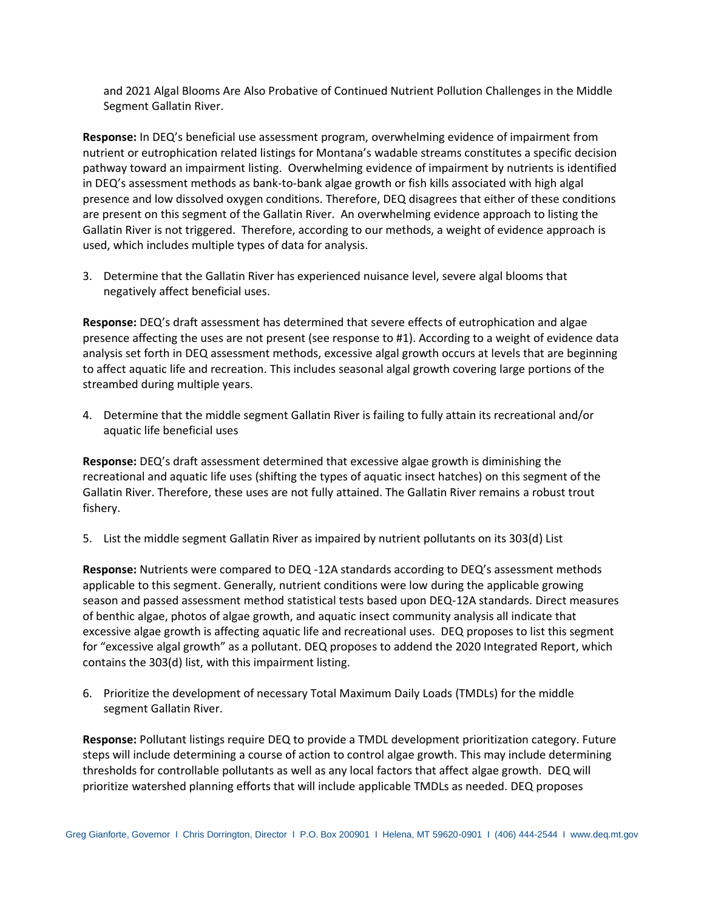and 2021 Algal Blooms Are Also Probative of Continued Nutrient Pollution Challenges in the Middle Segment Gallatin River.

**Response:** In DEQ's beneficial use assessment program, overwhelming evidence of impairment from nutrient or eutrophication related listings for Montana's wadable streams constitutes a specific decision pathway toward an impairment listing. Overwhelming evidence of impairment by nutrients is identified in DEQ's assessment methods as bank-to-bank algae growth or fish kills associated with high algal presence and low dissolved oxygen conditions. Therefore, DEQ disagrees that either of these conditions are present on this segment of the Gallatin River. An overwhelming evidence approach to listing the Gallatin River is not triggered. Therefore, according to our methods, a weight of evidence approach is used, which includes multiple types of data for analysis.

3. Determine that the Gallatin River has experienced nuisance level, severe algal blooms that negatively affect beneficial uses.

**Response:** DEQ's draft assessment has determined that severe effects of eutrophication and algae presence affecting the uses are not present (see response to #1). According to a weight of evidence data analysis set forth in DEQ assessment methods, excessive algal growth occurs at levels that are beginning to affect aquatic life and recreation. This includes seasonal algal growth covering large portions of the streambed during multiple years.

4. Determine that the middle segment Gallatin River is failing to fully attain its recreational and/or aquatic life beneficial uses

**Response:** DEQ's draft assessment determined that excessive algae growth is diminishing the recreational and aquatic life uses (shifting the types of aquatic insect hatches) on this segment of the Gallatin River. Therefore, these uses are not fully attained. The Gallatin River remains a robust trout fishery.

5. List the middle segment Gallatin River as impaired by nutrient pollutants on its 303(d) List

**Response:** Nutrients were compared to DEQ -12A standards according to DEQ's assessment methods applicable to this segment. Generally, nutrient conditions were low during the applicable growing season and passed assessment method statistical tests based upon DEQ-12A standards. Direct measures of benthic algae, photos of algae growth, and aquatic insect community analysis all indicate that excessive algae growth is affecting aquatic life and recreational uses. DEQ proposes to list this segment for "excessive algal growth" as a pollutant. DEQ proposes to addend the 2020 Integrated Report, which contains the 303(d) list, with this impairment listing.

6. Prioritize the development of necessary Total Maximum Daily Loads (TMDLs) for the middle segment Gallatin River.

**Response:** Pollutant listings require DEQ to provide a TMDL development prioritization category. Future steps will include determining a course of action to control algae growth. This may include determining thresholds for controllable pollutants as well as any local factors that affect algae growth. DEQ will prioritize watershed planning efforts that will include applicable TMDLs as needed. DEQ proposes